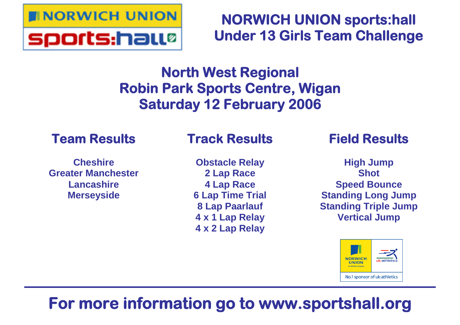

**NORWICH UNION sports:hall Under 13 Girls Team Challenge**

# **North West Regional Robin Park Sports Centre, Wigan Saturday 12 February 2006**

## **Team Results**

### **Cheshire Greater Manchester Lancashire Merseyside**

## **Track Results**

**Obstacle Relay 2 Lap Race 4 Lap Race 6 Lap Time Trial 8 Lap Paarlauf 4 x 1 Lap Relay 4 x 2 Lap Relay**

## **Field Results**

**High Jump Shot Speed Bounce Standing Long Jump Standing Triple Jump Vertical Jump**



# **For more information go to www.sportshall.org**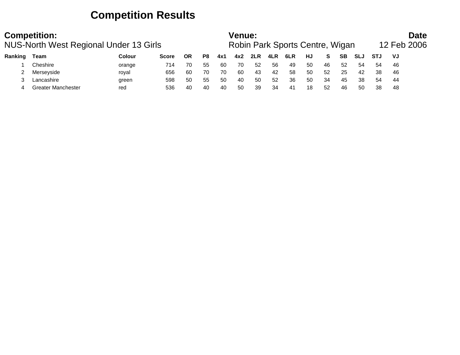### **Competition Results**

|         | <b>Competition:</b><br>NUS-North West Regional Under 13 Girls |        |              |    |    |     | <b>Venue:</b> |     |     | Robin Park Sports Centre, Wigan |    |    |     |            |            | <b>Date</b><br>12 Feb 2006 |  |
|---------|---------------------------------------------------------------|--------|--------------|----|----|-----|---------------|-----|-----|---------------------------------|----|----|-----|------------|------------|----------------------------|--|
| Ranking | Team                                                          | Colour | <b>Score</b> | ΟR | P8 | 4x1 | 4x2           | 2LR | 4LR | 6LR                             | HJ | S. | SB. | <b>SLJ</b> | <b>STJ</b> | VJ                         |  |
|         | Cheshire                                                      | orange | 714          | 70 | 55 | -60 | 70            | -52 | 56  | 49                              | 50 | 46 | 52  | -54        | 54         | -46                        |  |
|         | Merseyside                                                    | royal  | 656          | 60 | 70 | 70  | 60            | 43  | 42  | 58                              | 50 | 52 | 25  | 42         | -38        | -46                        |  |
|         | Lancashire                                                    | green  | 598          | 50 | 55 | 50  | 40            | -50 | 52  | 36                              | 50 | 34 | 45  | 38         | 54         | -44                        |  |
|         | <b>Greater Manchester</b>                                     | red    | 536          | 40 | 40 | 40  | 50            | 39  | 34  | -41                             | 18 | 52 | 46  | -50        | 38         | -48                        |  |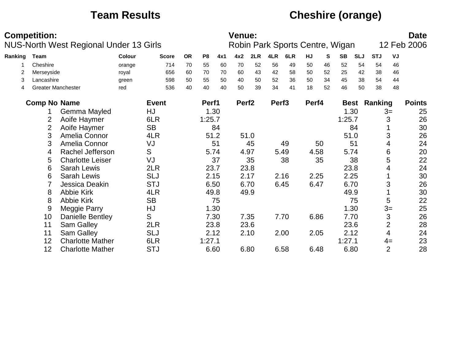## **Team Results Cheshire (orange)**

|         | <b>Competition:</b>       |                                               |        |              |           |                |      | Venue:            |      |                   |                                 |       |    |           |             |            |                | <b>Date</b>   |
|---------|---------------------------|-----------------------------------------------|--------|--------------|-----------|----------------|------|-------------------|------|-------------------|---------------------------------|-------|----|-----------|-------------|------------|----------------|---------------|
|         |                           | <b>NUS-North West Regional Under 13 Girls</b> |        |              |           |                |      |                   |      |                   | Robin Park Sports Centre, Wigan |       |    |           |             |            |                | 12 Feb 2006   |
| Ranking | <b>Team</b>               |                                               | Colour | <b>Score</b> | <b>OR</b> | P <sub>8</sub> | 4x1  | 4x2               | 2LR  | 4LR               | 6LR                             | HJ    | S  | <b>SB</b> | <b>SLJ</b>  | <b>STJ</b> | VJ             |               |
|         | Cheshire                  |                                               | orange | 714          | 70        | 55             | 60   | 70                | 52   | 56                | 49                              | 50    | 46 | 52        | 54          | 54         | 46             |               |
| 2       | Merseyside                |                                               | royal  | 656          | 60        | 70             | 70   | 60                | 43   | 42                | 58                              | 50    | 52 | 25        | 42          | 38         | 46             |               |
| 3       | Lancashire                |                                               | green  | 598          | 50        | 55             | 50   | 40                | 50   | 52                | 36                              | 50    | 34 | 45        | 38          | 54         | 44             |               |
| 4       | <b>Greater Manchester</b> |                                               | red    | 536          | 40        | 40             | 40   | 50                | 39   | 34                | 41                              | 18    | 52 | 46        | 50          | 38         | 48             |               |
|         | <b>Comp No Name</b>       |                                               |        | <b>Event</b> |           | Perf1          |      | Perf <sub>2</sub> |      | Perf <sub>3</sub> |                                 | Perf4 |    |           | <b>Best</b> | Ranking    |                | <b>Points</b> |
|         |                           | Gemma Mayled                                  |        | HJ           |           |                | 1.30 |                   |      |                   |                                 |       |    |           | 1.30        |            | $3=$           | 25            |
|         | 2                         | Aoife Haymer                                  |        | 6LR          |           | 1:25.7         |      |                   |      |                   |                                 |       |    | 1:25.7    |             |            | 3              | 26            |
|         | $\overline{2}$            | Aoife Haymer                                  |        | <b>SB</b>    |           |                | 84   |                   |      |                   |                                 |       |    |           | 84          |            |                | 30            |
|         | 3                         | Amelia Connor                                 |        | 4LR          |           |                | 51.2 |                   | 51.0 |                   |                                 |       |    |           | 51.0        |            | 3              | 26            |
|         | 3                         | Amelia Connor                                 |        | VJ           |           |                | 51   |                   | 45   |                   | 49                              |       | 50 |           | 51          |            | 4              | 24            |
|         | 4                         | Rachel Jefferson                              |        | S            |           |                | 5.74 |                   | 4.97 |                   | 5.49                            | 4.58  |    |           | 5.74        |            | 6              | 20            |
|         | 5                         | <b>Charlotte Leiser</b>                       |        | VJ           |           |                | 37   |                   | 35   |                   | 38                              |       | 35 |           | 38          |            | 5              | 22            |
|         | 6                         | <b>Sarah Lewis</b>                            |        | 2LR          |           |                | 23.7 |                   | 23.8 |                   |                                 |       |    |           | 23.8        |            | 4              | 24            |
|         | 6                         | <b>Sarah Lewis</b>                            |        | <b>SLJ</b>   |           |                | 2.15 |                   | 2.17 |                   | 2.16                            | 2.25  |    |           | 2.25        |            |                | 30            |
|         |                           | Jessica Deakin                                |        | <b>STJ</b>   |           |                | 6.50 |                   | 6.70 |                   | 6.45                            | 6.47  |    |           | 6.70        |            | 3              | 26            |
|         | 8                         | <b>Abbie Kirk</b>                             |        | 4LR          |           |                | 49.8 |                   | 49.9 |                   |                                 |       |    |           | 49.9        |            |                | 30            |
|         | 8                         | <b>Abbie Kirk</b>                             |        | <b>SB</b>    |           |                | 75   |                   |      |                   |                                 |       |    |           | 75          |            | 5              | 22            |
|         | 9                         | Meggie Parry                                  |        | HJ           |           |                | 1.30 |                   |      |                   |                                 |       |    |           | 1.30        |            | $3=$           | 25            |
|         | 10                        | <b>Danielle Bentley</b>                       |        | S            |           |                | 7.30 |                   | 7.35 |                   | 7.70                            | 6.86  |    |           | 7.70        |            | 3              | 26            |
|         | 11                        | Sam Galley                                    |        | 2LR          |           |                | 23.8 |                   | 23.6 |                   |                                 |       |    |           | 23.6        |            | 2              | 28            |
|         | 11                        | <b>Sam Galley</b>                             |        | <b>SLJ</b>   |           |                | 2.12 |                   | 2.10 |                   | 2.00                            | 2.05  |    |           | 2.12        |            | 4              | 24            |
|         | 12                        | <b>Charlotte Mather</b>                       |        | 6LR          |           | 1:27.1         |      |                   |      |                   |                                 |       |    | 1:27.1    |             |            | $4=$           | 23            |
|         | 12                        | <b>Charlotte Mather</b>                       |        | <b>STJ</b>   |           |                | 6.60 |                   | 6.80 |                   | 6.58                            | 6.48  |    | 6.80      |             |            | $\overline{2}$ | 28            |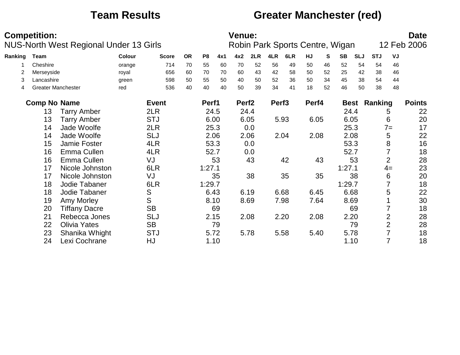### **Team Results Greater Manchester (red)**

|         | <b>Competition:</b>       |                                        |        |              |           |                |      | <b>Venue:</b>     |      |                   |                                 |       |    |             |            |            |                | <b>Date</b><br>12 Feb 2006 |
|---------|---------------------------|----------------------------------------|--------|--------------|-----------|----------------|------|-------------------|------|-------------------|---------------------------------|-------|----|-------------|------------|------------|----------------|----------------------------|
|         |                           | NUS-North West Regional Under 13 Girls |        |              |           |                |      |                   |      |                   | Robin Park Sports Centre, Wigan |       |    |             |            |            |                |                            |
| Ranking | Team                      |                                        | Colour | <b>Score</b> | <b>OR</b> | P <sub>8</sub> | 4x1  | 4x2               | 2LR  | 4LR               | 6LR                             | HJ    | S  | <b>SB</b>   | <b>SLJ</b> | <b>STJ</b> | VJ             |                            |
|         | Cheshire                  |                                        | orange | 714          | 70        | 55             | 60   | 70                | 52   | 56                | 49                              | 50    | 46 | 52          | 54         | 54         | 46             |                            |
|         | Merseyside                |                                        | royal  | 656          | 60        | 70             | 70   | 60                | 43   | 42                | 58                              | 50    | 52 | 25          | 42         | 38         | 46             |                            |
| 3       | Lancashire                |                                        | green  | 598          | 50        | 55             | 50   | 40                | 50   | 52                | 36                              | 50    | 34 | 45          | 38         | 54         | 44             |                            |
| 4       | <b>Greater Manchester</b> |                                        | red    | 536          | 40        | 40             | 40   | 50                | 39   | 34                | 41                              | 18    | 52 | 46          | 50         | 38         | 48             |                            |
|         | <b>Comp No Name</b>       |                                        |        | <b>Event</b> |           | Perf1          |      | Perf <sub>2</sub> |      | Perf <sub>3</sub> |                                 | Perf4 |    | <b>Best</b> |            | Ranking    |                | <b>Points</b>              |
|         | 13                        | <b>Tarry Amber</b>                     |        | 2LR          |           |                | 24.5 |                   | 24.4 |                   |                                 |       |    | 24.4        |            |            | 5              | 22                         |
|         | 13                        | <b>Tarry Amber</b>                     |        | <b>STJ</b>   |           |                | 6.00 |                   | 6.05 |                   | 5.93                            | 6.05  |    | 6.05        |            |            | 6              | 20                         |
|         | 14                        | Jade Woolfe                            |        | 2LR          |           |                | 25.3 |                   | 0.0  |                   |                                 |       |    | 25.3        |            |            | $7 =$          | 17                         |
|         | 14                        | Jade Woolfe                            |        | <b>SLJ</b>   |           |                | 2.06 |                   | 2.06 |                   | 2.04                            | 2.08  |    |             | 2.08       |            | 5              | 22                         |
|         | 15                        | Jamie Foster                           |        | 4LR          |           |                | 53.3 |                   | 0.0  |                   |                                 |       |    | 53.3        |            |            | 8              | 16                         |
|         | 16                        | Emma Cullen                            |        | 4LR          |           |                | 52.7 |                   | 0.0  |                   |                                 |       |    | 52.7        |            |            |                | 18                         |
|         | 16                        | Emma Cullen                            |        | VJ           |           |                | 53   |                   | 43   |                   | 42                              |       | 43 |             | 53         |            | $\overline{2}$ | 28                         |
|         | 17                        | Nicole Johnston                        |        | 6LR          |           | 1:27.1         |      |                   |      |                   |                                 |       |    | 1:27.1      |            |            | $4=$           | 23                         |
|         | 17                        | Nicole Johnston                        |        | VJ           |           |                | 35   |                   | 38   |                   | 35                              |       | 35 |             | 38         |            | 6              | 20                         |
|         | 18                        | Jodie Tabaner                          |        | 6LR          |           | 1:29.7         |      |                   |      |                   |                                 |       |    | 1:29.7      |            |            |                | 18                         |
|         | 18                        | Jodie Tabaner                          |        | S            |           |                | 6.43 |                   | 6.19 |                   | 6.68                            | 6.45  |    | 6.68        |            |            | 5              | 22                         |
|         | 19                        | Amy Morley                             |        | S            |           |                | 8.10 |                   | 8.69 |                   | 7.98                            | 7.64  |    | 8.69        |            |            |                | 30                         |
|         | 20                        | <b>Tiffany Dacre</b>                   |        | <b>SB</b>    |           |                | 69   |                   |      |                   |                                 |       |    |             | 69         |            |                | 18                         |
|         | 21                        | Rebecca Jones                          |        | <b>SLJ</b>   |           |                | 2.15 |                   | 2.08 |                   | 2.20                            | 2.08  |    | 2.20        |            |            | 2              | 28                         |
|         | 22                        | <b>Olivia Yates</b>                    |        | <b>SB</b>    |           |                | 79   |                   |      |                   |                                 |       |    |             | 79         |            | 2              | 28                         |
|         | 23                        | Shanika Whight                         |        | <b>STJ</b>   |           |                | 5.72 |                   | 5.78 |                   | 5.58                            | 5.40  |    | 5.78        |            |            |                | 18                         |
|         | 24                        | Lexi Cochrane                          |        | HJ           |           |                | 1.10 |                   |      |                   |                                 |       |    |             | 1.10       |            | 7              | 18                         |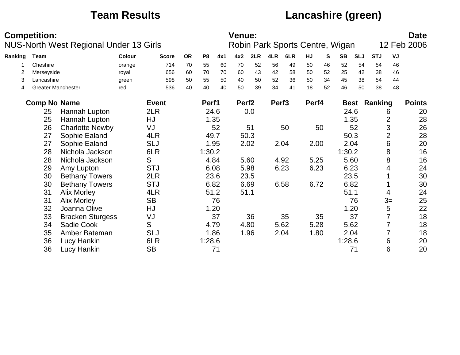## **Team Results Lancashire (green)**

|         | <b>Competition:</b> |                                               |        |              |           |                |      | <b>Venue:</b>     |      |                   |      |                                 |    |           |             |            |      | <b>Date</b>   |
|---------|---------------------|-----------------------------------------------|--------|--------------|-----------|----------------|------|-------------------|------|-------------------|------|---------------------------------|----|-----------|-------------|------------|------|---------------|
|         |                     | <b>NUS-North West Regional Under 13 Girls</b> |        |              |           |                |      |                   |      |                   |      | Robin Park Sports Centre, Wigan |    |           |             |            |      | 12 Feb 2006   |
| Ranking | <b>Team</b>         |                                               | Colour | <b>Score</b> | <b>OR</b> | P <sub>8</sub> | 4x1  | 4x2               | 2LR  | 4LR               | 6LR  | HJ                              | S  | <b>SB</b> | <b>SLJ</b>  | <b>STJ</b> | VJ   |               |
|         | Cheshire            |                                               | orange | 714          | 70        | 55             | 60   | 70                | 52   | 56                | 49   | 50                              | 46 | 52        | 54          | 54         | 46   |               |
| 2       | Merseyside          |                                               | royal  | 656          | 60        | 70             | 70   | 60                | 43   | 42                | 58   | 50                              | 52 | 25        | 42          | 38         | 46   |               |
| 3       | Lancashire          |                                               | green  | 598          | 50        | 55             | 50   | 40                | 50   | 52                | 36   | 50                              | 34 | 45        | 38          | 54         | 44   |               |
| 4       |                     | <b>Greater Manchester</b>                     | red    | 536          | 40        | 40             | 40   | 50                | 39   | 34                | 41   | 18                              | 52 | 46        | 50          | 38         | 48   |               |
|         | <b>Comp No Name</b> |                                               |        | <b>Event</b> |           | Perf1          |      | Perf <sub>2</sub> |      | Perf <sub>3</sub> |      | Perf4                           |    |           | <b>Best</b> | Ranking    |      | <b>Points</b> |
|         | 25                  | Hannah Lupton                                 |        | 2LR          |           |                | 24.6 |                   | 0.0  |                   |      |                                 |    |           | 24.6        |            | 6    | 20            |
|         | 25                  | Hannah Lupton                                 |        | HJ           |           |                | 1.35 |                   |      |                   |      |                                 |    |           | 1.35        |            | 2    | 28            |
|         | 26                  | <b>Charlotte Newby</b>                        |        | VJ           |           |                | 52   |                   | 51   |                   | 50   |                                 | 50 |           | 52          |            | 3    | 26            |
|         | 27                  | Sophie Ealand                                 |        | 4LR          |           |                | 49.7 |                   | 50.3 |                   |      |                                 |    |           | 50.3        |            | 2    | 28            |
|         | 27                  | Sophie Ealand                                 |        | <b>SLJ</b>   |           |                | 1.95 |                   | 2.02 |                   | 2.04 | 2.00                            |    |           | 2.04        |            | 6    | 20            |
|         | 28                  | Nichola Jackson                               |        | 6LR          |           | 1:30.2         |      |                   |      |                   |      |                                 |    | 1:30.2    |             |            | 8    | 16            |
|         | 28                  | Nichola Jackson                               |        | S            |           |                | 4.84 |                   | 5.60 |                   | 4.92 | 5.25                            |    |           | 5.60        |            | 8    | 16            |
|         | 29                  | Amy Lupton                                    |        | <b>STJ</b>   |           |                | 6.08 |                   | 5.98 |                   | 6.23 | 6.23                            |    |           | 6.23        |            | 4    | 24            |
|         | 30                  | <b>Bethany Towers</b>                         |        | 2LR          |           |                | 23.6 |                   | 23.5 |                   |      |                                 |    |           | 23.5        |            |      | 30            |
|         | 30                  | <b>Bethany Towers</b>                         |        | <b>STJ</b>   |           |                | 6.82 |                   | 6.69 |                   | 6.58 | 6.72                            |    |           | 6.82        |            |      | 30            |
|         | 31                  | <b>Alix Morley</b>                            |        | 4LR          |           |                | 51.2 | 51.1              |      |                   |      |                                 |    | 51.1      |             |            | 4    | 24            |
|         | 31                  | <b>Alix Morley</b>                            |        | <b>SB</b>    |           |                | 76   |                   |      |                   |      |                                 |    |           | 76          |            | $3=$ | 25            |
|         | 32                  | Joanna Olive                                  |        | HJ           |           |                | 1.20 |                   |      |                   |      |                                 |    |           | 1.20        |            | 5    | 22            |
|         | 33                  | <b>Bracken Sturgess</b>                       |        | VJ           |           |                | 37   |                   | 36   |                   | 35   |                                 | 35 |           | 37          |            |      | 18            |
|         | 34                  | Sadie Cook                                    |        | S            |           |                | 4.79 |                   | 4.80 |                   | 5.62 | 5.28                            |    |           | 5.62        |            |      | 18            |
|         | 35                  | Amber Bateman                                 |        | <b>SLJ</b>   |           |                | 1.86 |                   | 1.96 |                   | 2.04 | 1.80                            |    |           | 2.04        |            |      | 18            |
|         | 36                  | Lucy Hankin                                   |        | 6LR          |           | 1:28.6         |      |                   |      |                   |      |                                 |    | 1:28.6    |             |            | 6    | 20            |
|         | 36                  | Lucy Hankin                                   |        | <b>SB</b>    |           |                | 71   |                   |      |                   |      |                                 |    |           | 71          |            | 6    | 20            |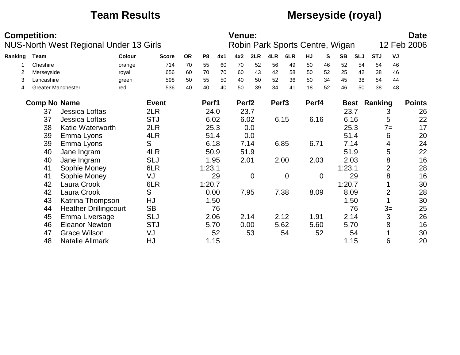## **Team Results Merseyside (royal)**

|         | <b>Competition:</b> |                              |                                        |              |           |                |      | <b>Venue:</b>     |                |                   |                                 |       |    |             |            |            |                | <b>Date</b>   |
|---------|---------------------|------------------------------|----------------------------------------|--------------|-----------|----------------|------|-------------------|----------------|-------------------|---------------------------------|-------|----|-------------|------------|------------|----------------|---------------|
|         |                     |                              | NUS-North West Regional Under 13 Girls |              |           |                |      |                   |                |                   | Robin Park Sports Centre, Wigan |       |    |             |            |            |                | 12 Feb 2006   |
| Ranking | Team                |                              | Colour                                 | <b>Score</b> | <b>OR</b> | P <sub>8</sub> | 4x1  | 4x2               | 2LR            | 4LR               | 6LR                             | HJ    | S  | <b>SB</b>   | <b>SLJ</b> | <b>STJ</b> | VJ             |               |
|         | Cheshire            |                              | orange                                 | 714          | 70        | 55             | 60   | 70                | 52             | 56                | 49                              | 50    | 46 | 52          | 54         | 54         | 46             |               |
|         | Merseyside          |                              | royal                                  | 656          | 60        | 70             | 70   | 60                | 43             | 42                | 58                              | 50    | 52 | 25          | 42         | 38         | 46             |               |
| 3       | Lancashire          |                              | green                                  | 598          | 50        | 55             | 50   | 40                | 50             | 52                | 36                              | 50    | 34 | 45          | 38         | 54         | 44             |               |
| 4       |                     | <b>Greater Manchester</b>    | red                                    | 536          | 40        | 40             | 40   | 50                | 39             | 34                | 41                              | 18    | 52 | 46          | 50         | 38         | 48             |               |
|         | <b>Comp No Name</b> |                              |                                        | <b>Event</b> |           | Perf1          |      | Perf <sub>2</sub> |                | Perf <sub>3</sub> |                                 | Perf4 |    | <b>Best</b> |            | Ranking    |                | <b>Points</b> |
|         | 37                  | <b>Jessica Loftas</b>        |                                        | 2LR          |           |                | 24.0 | 23.7              |                |                   |                                 |       |    | 23.7        |            |            | 3              | 26            |
|         | 37                  | Jessica Loftas               |                                        | <b>STJ</b>   |           |                | 6.02 |                   | 6.02           |                   | 6.15                            | 6.16  |    | 6.16        |            |            | 5              | 22            |
|         | 38                  | Katie Waterworth             |                                        | 2LR          |           |                | 25.3 |                   | 0.0            |                   |                                 |       |    |             | 25.3       |            | $7 =$          | 17            |
|         | 39                  | Emma Lyons                   |                                        | 4LR          |           |                | 51.4 |                   | 0.0            |                   |                                 |       |    | 51.4        |            |            | 6              | 20            |
|         | 39                  | Emma Lyons                   |                                        | S            |           |                | 6.18 |                   | 7.14           |                   | 6.85                            | 6.71  |    |             | 7.14       |            | 4              | 24            |
|         | 40                  | Jane Ingram                  |                                        | 4LR          |           |                | 50.9 |                   | 51.9           |                   |                                 |       |    | 51.9        |            |            | 5              | 22            |
|         | 40                  | Jane Ingram                  |                                        | <b>SLJ</b>   |           |                | 1.95 | 2.01              |                |                   | 2.00                            | 2.03  |    | 2.03        |            |            | 8              | 16            |
|         | 41                  | Sophie Money                 |                                        | 6LR          |           | 1:23.1         |      |                   |                |                   |                                 |       |    | 1:23.1      |            |            | $\overline{2}$ | 28            |
|         | 41                  | Sophie Money                 |                                        | VJ           |           |                | 29   |                   | $\overline{0}$ |                   | $\overline{0}$                  |       | 0  |             | 29         |            | 8              | 16            |
|         | 42                  | Laura Crook                  |                                        | 6LR          |           | 1:20.7         |      |                   |                |                   |                                 |       |    | 1:20.7      |            |            |                | 30            |
|         | 42                  | Laura Crook                  |                                        | S            |           |                | 0.00 |                   | 7.95           |                   | 7.38                            | 8.09  |    | 8.09        |            |            | $\overline{2}$ | 28            |
|         | 43                  | Katrina Thompson             |                                        | HJ           |           |                | 1.50 |                   |                |                   |                                 |       |    |             | 1.50       |            |                | 30            |
|         | 44                  | <b>Heather Drillingcourt</b> |                                        | <b>SB</b>    |           |                | 76   |                   |                |                   |                                 |       |    |             | 76         |            | $3=$           | 25            |
|         | 45                  | Emma Liversage               |                                        | <b>SLJ</b>   |           |                | 2.06 |                   | 2.14           |                   | 2.12                            | 1.91  |    | 2.14        |            |            | 3              | 26            |
|         | 46                  | <b>Eleanor Newton</b>        |                                        | <b>STJ</b>   |           |                | 5.70 |                   | 0.00           |                   | 5.62                            | 5.60  |    | 5.70        |            |            | 8              | 16            |
|         | 47                  | <b>Grace Wilson</b>          |                                        | VJ           |           |                | 52   |                   | 53             |                   | 54                              |       | 52 |             | 54         |            |                | 30            |
|         | 48                  | Natalie Allmark              |                                        | HJ           |           |                | 1.15 |                   |                |                   |                                 |       |    | 1.15        |            |            | 6              | 20            |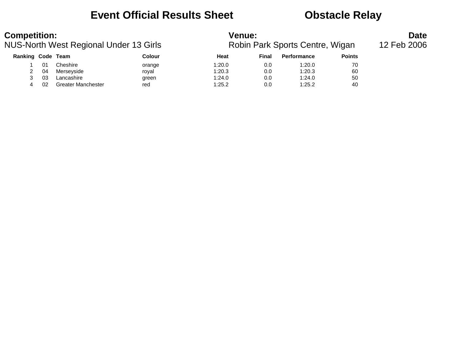### **Event Official Results Sheet Constracts Obstacle Relay**

| <b>Competition:</b> |    |                                        |        | <b>Venue:</b> |              |                                 |               | <b>Date</b> |
|---------------------|----|----------------------------------------|--------|---------------|--------------|---------------------------------|---------------|-------------|
|                     |    | NUS-North West Regional Under 13 Girls |        |               |              | Robin Park Sports Centre, Wigan |               | 12 Feb 2006 |
| Ranking Code Team   |    |                                        | Colour | Heat          | <b>Final</b> | <b>Performance</b>              | <b>Points</b> |             |
|                     | 01 | Cheshire                               | orange | 1:20.0        | 0.0          | 1:20.0                          | 70            |             |
|                     | 04 | Merseyside                             | roval  | 1:20.3        | 0.0          | 1:20.3                          | 60            |             |
|                     | 03 | Lancashire                             | green  | 1:24.0        | 0.0          | 1:24.0                          | 50            |             |
| 4                   | 02 | <b>Greater Manchester</b>              | red    | 1:25.2        | 0.0          | 1:25.2                          | 40            |             |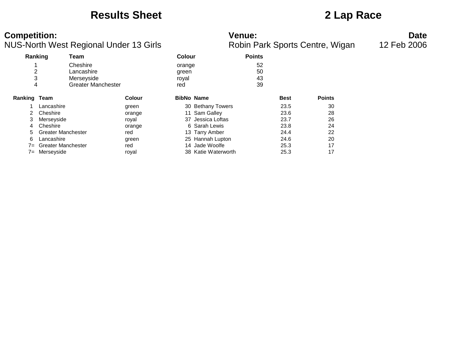### **Results Sheet 2 Lap Race**

**Competition: Date**<br>**Robin Park Sports Centre, Wigan** 12 Feb 2006<br>**Robin Park Sports Centre, Wigan** 12 Feb 2006 NUS-North West Regional Under 13 Girls

|                     | Ranking                   | Team                      |        | <b>Colour</b>     |                     | <b>Points</b> |             |               |
|---------------------|---------------------------|---------------------------|--------|-------------------|---------------------|---------------|-------------|---------------|
|                     |                           | Cheshire                  |        | orange            |                     | 52            |             |               |
| 2                   |                           | Lancashire                |        | green             |                     | 50            |             |               |
| 3                   |                           | Merseyside                |        | royal             |                     | 43            |             |               |
| 4                   |                           | <b>Greater Manchester</b> |        | red               |                     | 39            |             |               |
| <b>Ranking Team</b> |                           |                           | Colour | <b>BibNo Name</b> |                     |               | <b>Best</b> | <b>Points</b> |
|                     | Lancashire                |                           | green  |                   | 30 Bethany Towers   |               | 23.5        | 30            |
| 2                   | Cheshire                  |                           | orange |                   | 11 Sam Galley       |               | 23.6        | 28            |
| 3                   | Merseyside                |                           | royal  |                   | 37 Jessica Loftas   |               | 23.7        | 26            |
| 4                   | Cheshire                  |                           | orange |                   | 6 Sarah Lewis       |               | 23.8        | 24            |
| 5                   | <b>Greater Manchester</b> |                           | red    |                   | 13 Tarry Amber      |               | 24.4        | 22            |
| 6                   | Lancashire                |                           | green  |                   | 25 Hannah Lupton    |               | 24.6        | 20            |
| $7 =$               | <b>Greater Manchester</b> |                           | red    |                   | 14 Jade Woolfe      |               | 25.3        | 17            |
| $7 =$               | Merseyside                |                           | roval  |                   | 38 Katie Waterworth |               | 25.3        | 17            |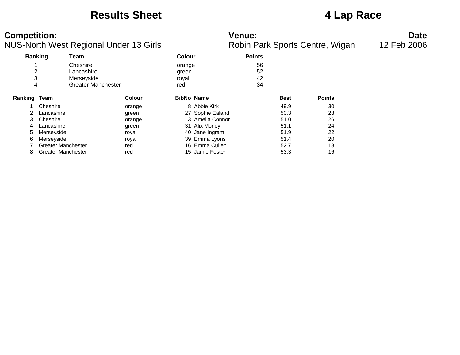### **Results Sheet 4 Lap Race**

### **Competition: Venue: Date**

|  | Robin Park Sports Centre, Wigar |  |
|--|---------------------------------|--|
|  |                                 |  |

|                |                           | ັ                         |               |               |                   |               |             |               |
|----------------|---------------------------|---------------------------|---------------|---------------|-------------------|---------------|-------------|---------------|
|                | Ranking                   | Team                      |               | <b>Colour</b> |                   | <b>Points</b> |             |               |
|                |                           | Cheshire                  |               | orange        |                   | 56            |             |               |
| $\overline{2}$ |                           | Lancashire                |               | green         |                   | 52            |             |               |
| 3              |                           | Merseyside                |               | royal         |                   | 42            |             |               |
| 4              |                           | <b>Greater Manchester</b> |               | red           |                   | 34            |             |               |
| Ranking Team   |                           |                           | <b>Colour</b> |               | <b>BibNo Name</b> |               | <b>Best</b> | <b>Points</b> |
|                | Cheshire                  |                           | orange        |               | 8 Abbie Kirk      |               | 49.9        | 30            |
| 2              | Lancashire                |                           | green         |               | 27 Sophie Ealand  |               | 50.3        | 28            |
| 3              | Cheshire                  |                           | orange        |               | 3 Amelia Connor   |               | 51.0        | 26            |
| 4              | Lancashire                |                           | green         |               | 31 Alix Morley    |               | 51.1        | 24            |
| 5              | Merseyside                |                           | royal         |               | 40 Jane Ingram    |               | 51.9        | 22            |
| 6              | Merseyside                |                           | royal         |               | 39 Emma Lyons     |               | 51.4        | 20            |
|                | <b>Greater Manchester</b> |                           | red           |               | 16 Emma Cullen    |               | 52.7        | 18            |
| 8              | <b>Greater Manchester</b> |                           | red           |               | 15 Jamie Foster   |               | 53.3        | 16            |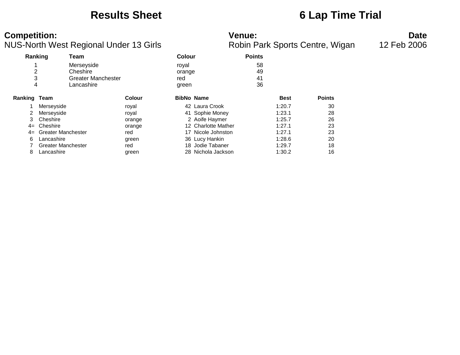### **Results Sheet 6 Lap Time Trial**

### **Competition: Venue: Date**

|              | Ranking<br>Team           |                    | Colour              | <b>Points</b> |             |               |
|--------------|---------------------------|--------------------|---------------------|---------------|-------------|---------------|
|              | Merseyside                |                    | royal               | 58            |             |               |
| 2            | Cheshire                  |                    | orange              | 49            |             |               |
| 3            |                           | Greater Manchester | red                 | 41            |             |               |
|              | Lancashire<br>4           |                    | green               | 36            |             |               |
| Ranking Team |                           | Colour             | <b>BibNo Name</b>   |               | <b>Best</b> | <b>Points</b> |
|              | Merseyside                | royal              | 42 Laura Crook      |               | 1:20.7      | 30            |
|              | Merseyside                | royal              | 41 Sophie Money     |               | 1:23.1      | 28            |
| 3            | Cheshire                  | orange             | 2 Aoife Haymer      |               | 1:25.7      | 26            |
| $4=$         | Cheshire                  | orange             | 12 Charlotte Mather |               | 1:27.1      | 23            |
| $4=$         | <b>Greater Manchester</b> | red                | 17 Nicole Johnston  |               | 1:27.1      | 23            |
| 6            | Lancashire                | green              | 36 Lucy Hankin      |               | 1:28.6      | 20            |
|              | <b>Greater Manchester</b> | red                | 18 Jodie Tabaner    |               | 1:29.7      | 18            |
| 8            | Lancashire                | green              | 28 Nichola Jackson  |               | 1:30.2      | 16            |
|              |                           |                    |                     |               |             |               |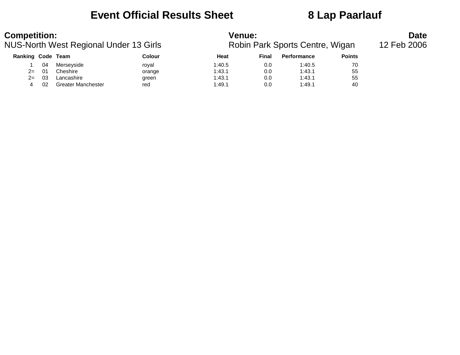### **Event Official Results Sheet 8 Lap Paarlauf**

| <b>Competition:</b> |     |                                        |        | <b>Venue:</b> |       |                                 |               | <b>Date</b> |
|---------------------|-----|----------------------------------------|--------|---------------|-------|---------------------------------|---------------|-------------|
|                     |     | NUS-North West Regional Under 13 Girls |        |               |       | Robin Park Sports Centre, Wigan |               | 12 Feb 2006 |
| Ranking Code Team   |     |                                        | Colour | Heat          | Final | <b>Performance</b>              | <b>Points</b> |             |
|                     | 04  | Merseyside                             | roval  | 1:40.5        | 0.0   | 1:40.5                          | 70            |             |
| $2 =$               | -01 | Cheshire                               | orange | 1:43.1        | 0.0   | 1:43.1                          | 55            |             |
| $2 =$               | -03 | Lancashire                             | green  | 1:43.1        | 0.0   | 1:43.1                          | 55            |             |
|                     | 02  | <b>Greater Manchester</b>              | red    | 1:49.1        | 0.0   | 1:49.1                          | 40            |             |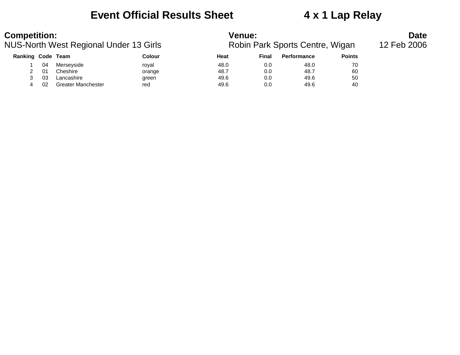### **Event Official Results Sheet 4 x 1 Lap Relay**

| <b>Competition:</b> |    |                                        |        | Venue: |       |                                 |               | <b>Date</b> |
|---------------------|----|----------------------------------------|--------|--------|-------|---------------------------------|---------------|-------------|
|                     |    | NUS-North West Regional Under 13 Girls |        |        |       | Robin Park Sports Centre, Wigan |               | 12 Feb 2006 |
| Ranking Code Team   |    |                                        | Colour | Heat   | Final | <b>Performance</b>              | <b>Points</b> |             |
|                     | 04 | Merseyside                             | roval  | 48.0   | 0.0   | 48.0                            | 70            |             |
|                     | 01 | Cheshire                               | orange | 48.7   | 0.0   | 48.7                            | 60            |             |
|                     | 03 | Lancashire                             | green  | 49.6   | 0.0   | 49.6                            | 50            |             |
| 4                   | 02 | <b>Greater Manchester</b>              | red    | 49.6   | 0.0   | 49.6                            | 40            |             |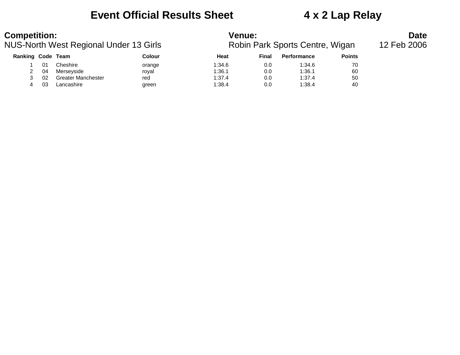### **Event Official Results Sheet 4 x 2 Lap Relay**

| <b>Competition:</b>                    |    |                           |        | <b>Venue:</b>                   | <b>Date</b> |                    |               |  |
|----------------------------------------|----|---------------------------|--------|---------------------------------|-------------|--------------------|---------------|--|
| NUS-North West Regional Under 13 Girls |    |                           |        | Robin Park Sports Centre, Wigan | 12 Feb 2006 |                    |               |  |
| <b>Ranking Code Team</b>               |    |                           | Colour | Heat                            | Final       | <b>Performance</b> | <b>Points</b> |  |
|                                        |    | Cheshire                  | orange | 1:34.6                          | 0.0         | 1:34.6             | 70            |  |
|                                        | 04 | Merseyside                | roval  | 1:36.1                          | 0.0         | 1:36.1             | 60            |  |
|                                        | 02 | <b>Greater Manchester</b> | red    | 1:37.4                          | 0.0         | 1:37.4             | 50            |  |
| 4                                      | 03 | Lancashire                | green  | 1:38.4                          | 0.0         | 1:38.4             | 40            |  |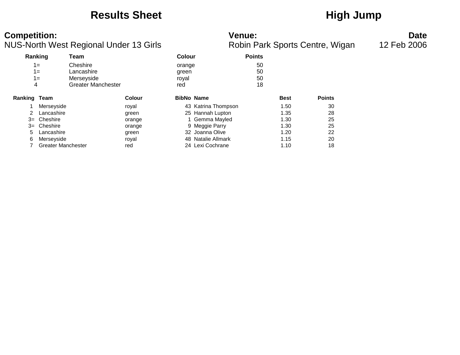### Results Sheet **High Jump**

**Competition: Date**<br>**Robin Park Sports Centre, Wigan** 12 Feb 2006<br>**Robin Park Sports Centre, Wigan** 12 Feb 2006 NUS-North West Regional Under 13 Girls

| Ranking |                           | Team                      |        | <b>Colour</b>     |                     | <b>Points</b> |             |               |
|---------|---------------------------|---------------------------|--------|-------------------|---------------------|---------------|-------------|---------------|
|         | $1 =$                     | Cheshire                  |        | orange            |                     | 50            |             |               |
|         | $1 =$                     | Lancashire                |        | green             |                     | 50            |             |               |
|         | $1 =$                     | Merseyside                |        | royal             |                     | 50            |             |               |
| 4       |                           | <b>Greater Manchester</b> |        | red               |                     | 18            |             |               |
| Ranking | Team                      |                           | Colour | <b>BibNo Name</b> |                     |               | <b>Best</b> | <b>Points</b> |
|         | Merseyside                |                           | royal  |                   | 43 Katrina Thompson |               | 1.50        | 30            |
| 2       | Lancashire                |                           | green  |                   | 25 Hannah Lupton    |               | 1.35        | 28            |
| $3=$    | Cheshire                  |                           | orange |                   | 1 Gemma Mayled      |               | 1.30        | 25            |
| $3=$    | Cheshire                  |                           | orange |                   | 9 Meggie Parry      |               | 1.30        | 25            |
| 5       | Lancashire                |                           | green  |                   | 32 Joanna Olive     |               | 1.20        | 22            |
| 6       | Merseyside                |                           | royal  |                   | 48 Natalie Allmark  |               | 1.15        | 20            |
|         | <b>Greater Manchester</b> |                           | red    |                   | 24 Lexi Cochrane    |               | 1.10        | 18            |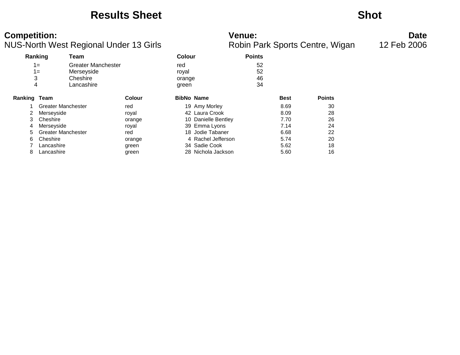### **Results Sheet Shot**

| <b>Competition:</b><br>NUS-North West Regional Under 13 Girls |                           |                                                                   |               |                                 |                     | <b>Venue:</b><br>Robin Park Sports Centre, Wigan |             |               | <b>Date</b><br>12 Feb 2006 |
|---------------------------------------------------------------|---------------------------|-------------------------------------------------------------------|---------------|---------------------------------|---------------------|--------------------------------------------------|-------------|---------------|----------------------------|
|                                                               | Ranking                   | Team                                                              |               | <b>Colour</b>                   |                     | <b>Points</b>                                    |             |               |                            |
|                                                               | $1 =$<br>$1 =$<br>3<br>4  | <b>Greater Manchester</b><br>Merseyside<br>Cheshire<br>Lancashire |               | red<br>royal<br>orange<br>green |                     | 52<br>52<br>46<br>34                             |             |               |                            |
| Ranking Team                                                  |                           |                                                                   | <b>Colour</b> |                                 | <b>BibNo Name</b>   |                                                  | <b>Best</b> | <b>Points</b> |                            |
|                                                               | Greater Manchester        |                                                                   | red           |                                 | 19 Amy Morley       |                                                  | 8.69        | 30            |                            |
|                                                               | Merseyside                |                                                                   | royal         |                                 | 42 Laura Crook      |                                                  | 8.09        | 28            |                            |
|                                                               | Cheshire                  |                                                                   | orange        |                                 | 10 Danielle Bentley |                                                  | 7.70        | 26            |                            |
|                                                               | Merseyside                |                                                                   | royal         |                                 | 39 Emma Lyons       |                                                  | 7.14        | 24            |                            |
|                                                               | <b>Greater Manchester</b> |                                                                   | red           |                                 | 18 Jodie Tabaner    |                                                  | 6.68        | 22            |                            |
| 6                                                             | Cheshire                  |                                                                   | orange        |                                 | 4 Rachel Jefferson  |                                                  | 5.74        | 20            |                            |
|                                                               | Lancashire                |                                                                   | green         |                                 | 34 Sadie Cook       |                                                  | 5.62        | 18            |                            |
| 8                                                             | Lancashire                |                                                                   | green         |                                 | 28 Nichola Jackson  |                                                  | 5.60        | 16            |                            |

green 28 Nichola Jackson 5.60 5.60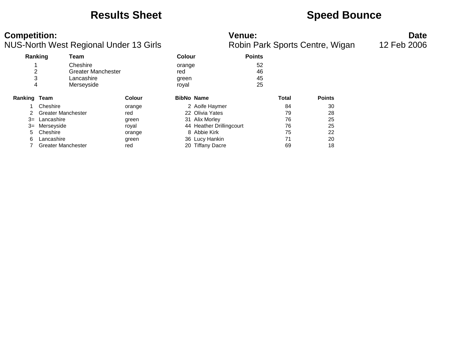### **Results Sheet <b>Speed Bounce Speed Bounce**

| <b>Competition:</b>                |  |
|------------------------------------|--|
| NUS-North West Regional Under 13 ( |  |

| <b>Competition:</b> |                           | NUS-North West Regional Under 13 Girls                            |               |                                 | <b>Venue:</b>            |                      |       | Robin Park Sports Centre, Wigan | <b>Date</b><br>12 Feb 2006 |
|---------------------|---------------------------|-------------------------------------------------------------------|---------------|---------------------------------|--------------------------|----------------------|-------|---------------------------------|----------------------------|
|                     | Ranking                   | Team                                                              |               | <b>Colour</b>                   |                          | <b>Points</b>        |       |                                 |                            |
| ∠<br>4              |                           | Cheshire<br><b>Greater Manchester</b><br>Lancashire<br>Merseyside |               | orange<br>red<br>green<br>royal |                          | 52<br>46<br>45<br>25 |       |                                 |                            |
| <b>Ranking Team</b> |                           |                                                                   | <b>Colour</b> |                                 | <b>BibNo Name</b>        |                      | Total | <b>Points</b>                   |                            |
|                     | Cheshire                  |                                                                   | orange        |                                 | 2 Aoife Haymer           |                      | 84    | 30                              |                            |
|                     | <b>Greater Manchester</b> |                                                                   | red           |                                 | 22 Olivia Yates          |                      | 79    | 28                              |                            |
| $3=$                | Lancashire                |                                                                   | green         |                                 | 31 Alix Morley           |                      | 76    | 25                              |                            |
| $3=$                | Merseyside                |                                                                   | royal         |                                 | 44 Heather Drillingcourt |                      | 76    | 25                              |                            |
| 5                   | Cheshire                  |                                                                   | orange        |                                 | 8 Abbie Kirk             |                      | 75    | 22                              |                            |
| 6                   | Lancashire                |                                                                   | green         |                                 | 36 Lucy Hankin           |                      | 71    | 20                              |                            |
|                     | <b>Greater Manchester</b> |                                                                   | red           |                                 | 20 Tiffany Dacre         |                      | 69    | 18                              |                            |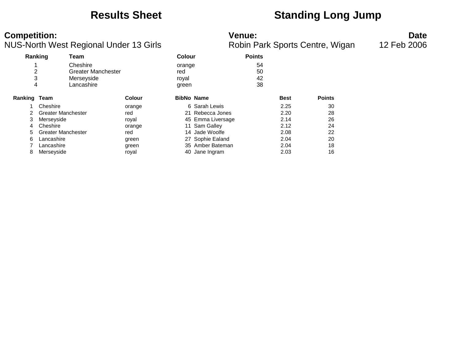### **Results Sheet Standing Long Jump**

### **Competition: Venue: Date**

|              | ັ                         |               |                   |                   |    |             |               |
|--------------|---------------------------|---------------|-------------------|-------------------|----|-------------|---------------|
|              | Ranking<br>Team           |               |                   | Colour            |    |             |               |
|              | Cheshire                  |               | orange            |                   | 54 |             |               |
| 2            | <b>Greater Manchester</b> |               | red               |                   | 50 |             |               |
| 3            | Merseyside                |               | royal             |                   | 42 |             |               |
| 4            | Lancashire                |               | green             |                   | 38 |             |               |
| Ranking Team |                           | <b>Colour</b> | <b>BibNo Name</b> |                   |    | <b>Best</b> | <b>Points</b> |
|              | Cheshire                  | orange        |                   | 6 Sarah Lewis     |    | 2.25        | 30            |
| 2            | <b>Greater Manchester</b> | red           |                   | 21 Rebecca Jones  |    | 2.20        | 28            |
| 3            | Merseyside                | royal         |                   | 45 Emma Liversage |    | 2.14        | 26            |
| 4            | Cheshire                  | orange        |                   | 11 Sam Galley     |    | 2.12        | 24            |
| 5            | <b>Greater Manchester</b> | red           |                   | 14 Jade Woolfe    |    | 2.08        | 22            |
| 6            | Lancashire                | green         |                   | 27 Sophie Ealand  |    | 2.04        | 20            |
|              | Lancashire                | green         |                   | 35 Amber Bateman  |    | 2.04        | 18            |
| 8            | Merseyside                | roval         |                   | 40 Jane Ingram    |    | 2.03        | 16            |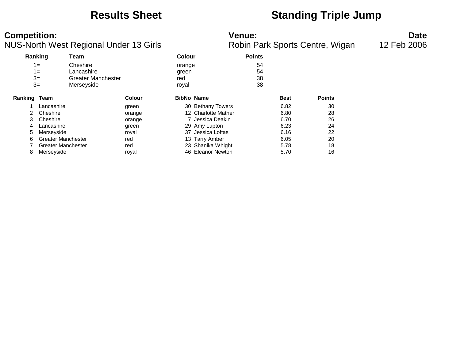### **Results Sheet Standing Triple Jump**

### **Competition: Venue: Date**

|                     |                           | ັ                         |        |                   |                     |               |             | $\cdot$       |
|---------------------|---------------------------|---------------------------|--------|-------------------|---------------------|---------------|-------------|---------------|
|                     | Ranking                   | Team                      |        | Colour            |                     | <b>Points</b> |             |               |
|                     | $1 =$                     | Cheshire                  |        | orange            |                     | 54            |             |               |
|                     | $1 =$                     | Lancashire                |        | green             |                     | 54            |             |               |
|                     | $3=$                      | <b>Greater Manchester</b> |        | red               |                     | 38            |             |               |
|                     | $3=$                      | Merseyside                |        | royal             |                     | 38            |             |               |
| <b>Ranking Team</b> |                           |                           | Colour | <b>BibNo Name</b> |                     |               | <b>Best</b> | <b>Points</b> |
|                     | Lancashire                |                           | green  |                   | 30 Bethany Towers   |               | 6.82        | 30            |
| 2                   | Cheshire                  |                           | orange |                   | 12 Charlotte Mather |               | 6.80        | 28            |
| 3                   | Cheshire                  |                           | orange |                   | 7 Jessica Deakin    |               | 6.70        | 26            |
| 4                   | Lancashire                |                           | green  |                   | 29 Amy Lupton       |               | 6.23        | 24            |
| 5                   | Merseyside                |                           | royal  |                   | 37 Jessica Loftas   |               | 6.16        | 22            |
| 6                   | <b>Greater Manchester</b> |                           | red    |                   | 13 Tarry Amber      |               | 6.05        | 20            |
|                     | <b>Greater Manchester</b> |                           | red    |                   | 23 Shanika Whight   |               | 5.78        | 18            |
| 8                   | Merseyside                |                           | royal  |                   | 46 Eleanor Newton   |               | 5.70        | 16            |
|                     |                           |                           |        |                   |                     |               |             |               |